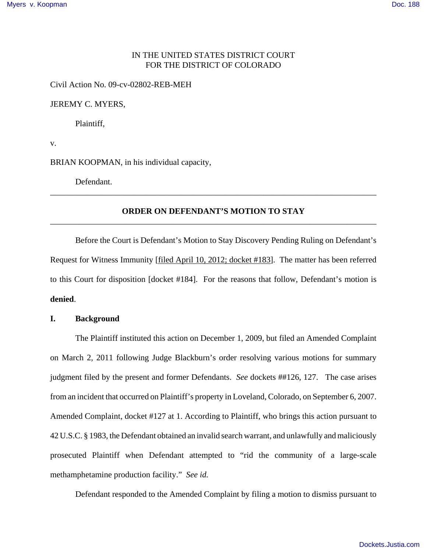## IN THE UNITED STATES DISTRICT COURT FOR THE DISTRICT OF COLORADO

Civil Action No. 09-cv-02802-REB-MEH

JEREMY C. MYERS,

Plaintiff,

v.

BRIAN KOOPMAN, in his individual capacity,

Defendant.

# **ORDER ON DEFENDANT'S MOTION TO STAY** \_\_\_\_\_\_\_\_\_\_\_\_\_\_\_\_\_\_\_\_\_\_\_\_\_\_\_\_\_\_\_\_\_\_\_\_\_\_\_\_\_\_\_\_\_\_\_\_\_\_\_\_\_\_\_\_\_\_\_\_\_\_\_\_\_\_\_\_\_\_\_\_\_\_\_\_\_\_

\_\_\_\_\_\_\_\_\_\_\_\_\_\_\_\_\_\_\_\_\_\_\_\_\_\_\_\_\_\_\_\_\_\_\_\_\_\_\_\_\_\_\_\_\_\_\_\_\_\_\_\_\_\_\_\_\_\_\_\_\_\_\_\_\_\_\_\_\_\_\_\_\_\_\_\_\_\_

Before the Court is Defendant's Motion to Stay Discovery Pending Ruling on Defendant's Request for Witness Immunity [filed April 10, 2012; docket #183]. The matter has been referred to this Court for disposition [docket #184]. For the reasons that follow, Defendant's motion is **denied**.

#### **I. Background**

The Plaintiff instituted this action on December 1, 2009, but filed an Amended Complaint on March 2, 2011 following Judge Blackburn's order resolving various motions for summary judgment filed by the present and former Defendants. *See* dockets ##126, 127. The case arises from an incident that occurred on Plaintiff's property in Loveland, Colorado, on September 6, 2007. Amended Complaint, docket #127 at 1. According to Plaintiff, who brings this action pursuant to 42 U.S.C. § 1983, the Defendant obtained an invalid search warrant, and unlawfully and maliciously prosecuted Plaintiff when Defendant attempted to "rid the community of a large-scale methamphetamine production facility." *See id.*

Defendant responded to the Amended Complaint by filing a motion to dismiss pursuant to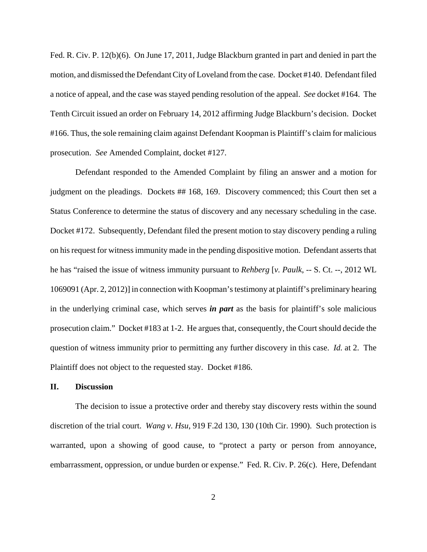Fed. R. Civ. P. 12(b)(6). On June 17, 2011, Judge Blackburn granted in part and denied in part the motion, and dismissed the Defendant City of Loveland from the case. Docket #140. Defendant filed a notice of appeal, and the case was stayed pending resolution of the appeal. *See* docket #164. The Tenth Circuit issued an order on February 14, 2012 affirming Judge Blackburn's decision. Docket #166. Thus, the sole remaining claim against Defendant Koopman is Plaintiff's claim for malicious prosecution. *See* Amended Complaint, docket #127.

Defendant responded to the Amended Complaint by filing an answer and a motion for judgment on the pleadings. Dockets ## 168, 169. Discovery commenced; this Court then set a Status Conference to determine the status of discovery and any necessary scheduling in the case. Docket #172. Subsequently, Defendant filed the present motion to stay discovery pending a ruling on his request for witness immunity made in the pending dispositive motion. Defendant asserts that he has "raised the issue of witness immunity pursuant to *Rehberg* [*v. Paulk*, -- S. Ct. --, 2012 WL 1069091 (Apr. 2, 2012)] in connection with Koopman's testimony at plaintiff's preliminary hearing in the underlying criminal case, which serves *in part* as the basis for plaintiff's sole malicious prosecution claim." Docket #183 at 1-2. He argues that, consequently, the Court should decide the question of witness immunity prior to permitting any further discovery in this case. *Id.* at 2. The Plaintiff does not object to the requested stay. Docket #186.

### **II. Discussion**

The decision to issue a protective order and thereby stay discovery rests within the sound discretion of the trial court. *Wang v. Hsu*, 919 F.2d 130, 130 (10th Cir. 1990). Such protection is warranted, upon a showing of good cause, to "protect a party or person from annoyance, embarrassment, oppression, or undue burden or expense." Fed. R. Civ. P. 26(c). Here, Defendant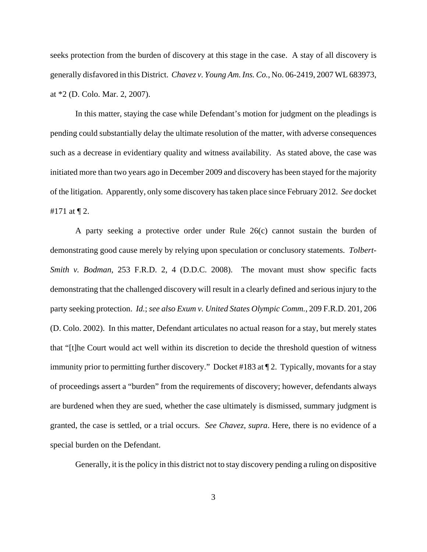seeks protection from the burden of discovery at this stage in the case. A stay of all discovery is generally disfavored in this District. *Chavez v. Young Am. Ins. Co.*, No. 06-2419, 2007 WL 683973, at \*2 (D. Colo. Mar. 2, 2007).

In this matter, staying the case while Defendant's motion for judgment on the pleadings is pending could substantially delay the ultimate resolution of the matter, with adverse consequences such as a decrease in evidentiary quality and witness availability. As stated above, the case was initiated more than two years ago in December 2009 and discovery has been stayed for the majority of the litigation. Apparently, only some discovery has taken place since February 2012. *See* docket #171 at ¶ 2.

A party seeking a protective order under Rule 26(c) cannot sustain the burden of demonstrating good cause merely by relying upon speculation or conclusory statements. *Tolbert-Smith v. Bodman*, 253 F.R.D. 2, 4 (D.D.C. 2008). The movant must show specific facts demonstrating that the challenged discovery will result in a clearly defined and serious injury to the party seeking protection. *Id.*; *see also Exum v. United States Olympic Comm.*, 209 F.R.D. 201, 206 (D. Colo. 2002). In this matter, Defendant articulates no actual reason for a stay, but merely states that "[t]he Court would act well within its discretion to decide the threshold question of witness immunity prior to permitting further discovery." Docket #183 at ¶ 2. Typically, movants for a stay of proceedings assert a "burden" from the requirements of discovery; however, defendants always are burdened when they are sued, whether the case ultimately is dismissed, summary judgment is granted, the case is settled, or a trial occurs. *See Chavez, supra*. Here, there is no evidence of a special burden on the Defendant.

Generally, it is the policy in this district not to stay discovery pending a ruling on dispositive